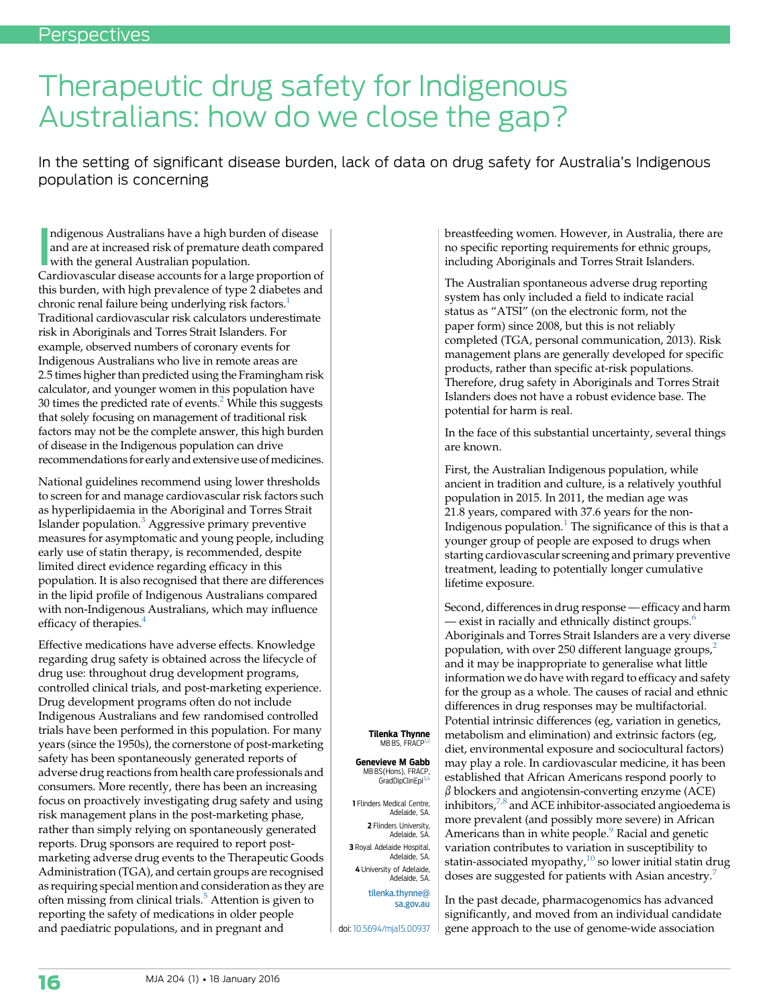## Therapeutic drug safety for Indigenous Australians: how do we close the gap?

In the setting of significant disease burden, lack of data on drug safety for Australia's Indigenous population is concerning

ndigenous Australians have a high burden of disease<br>and are at increased risk of premature death compared<br>with the general Australian population.<br>Cardiovascular disease accounts for a large proportion of ndigenous Australians have a high burden of disease and are at increased risk of premature death compared with the general Australian population. this burden, with high prevalence of type 2 diabetes and chronic renal failure being underlying risk factors.<sup>[1](#page-2-0)</sup> Traditional cardiovascular risk calculators underestimate risk in Aboriginals and Torres Strait Islanders. For example, observed numbers of coronary events for Indigenous Australians who live in remote areas are 2.5 times higher than predicted using the Framingham risk calculator, and younger women in this population have 30 times the predicted rate of events. $2$  While this suggests that solely focusing on management of traditional risk factors may not be the complete answer, this high burden of disease in the Indigenous population can drive recommendations for early and extensive use of medicines.

National guidelines recommend using lower thresholds to screen for and manage cardiovascular risk factors such as hyperlipidaemia in the Aboriginal and Torres Strait Islander population.[3](#page-2-0) Aggressive primary preventive measures for asymptomatic and young people, including early use of statin therapy, is recommended, despite limited direct evidence regarding efficacy in this population. It is also recognised that there are differences in the lipid profile of Indigenous Australians compared with non-Indigenous Australians, which may influence efficacy of therapies.<sup>[4](#page-2-0)</sup>

Effective medications have adverse effects. Knowledge regarding drug safety is obtained across the lifecycle of drug use: throughout drug development programs, controlled clinical trials, and post-marketing experience. Drug development programs often do not include Indigenous Australians and few randomised controlled trials have been performed in this population. For many years (since the 1950s), the cornerstone of post-marketing safety has been spontaneously generated reports of adverse drug reactions from health care professionals and consumers. More recently, there has been an increasing focus on proactively investigating drug safety and using risk management plans in the post-marketing phase, rather than simply relying on spontaneously generated reports. Drug sponsors are required to report postmarketing adverse drug events to the Therapeutic Goods Administration (TGA), and certain groups are recognised as requiring special mention and consideration as they are often missing from clinical trials.<sup>[5](#page-2-0)</sup> Attention is given to reporting the safety of medications in older people and paediatric populations, and in pregnant and

breastfeeding women. However, in Australia, there are no specific reporting requirements for ethnic groups, including Aboriginals and Torres Strait Islanders.

The Australian spontaneous adverse drug reporting system has only included a field to indicate racial status as "ATSI" (on the electronic form, not the paper form) since 2008, but this is not reliably completed (TGA, personal communication, 2013). Risk management plans are generally developed for specific products, rather than specific at-risk populations. Therefore, drug safety in Aboriginals and Torres Strait Islanders does not have a robust evidence base. The potential for harm is real.

In the face of this substantial uncertainty, several things are known.

First, the Australian Indigenous population, while ancient in tradition and culture, is a relatively youthful population in 2015. In 2011, the median age was 21.8 years, compared with 37.6 years for the non-Indigenous population.<sup>[1](#page-2-0)</sup> The significance of this is that a younger group of people are exposed to drugs when starting cardiovascular screening and primary preventive treatment, leading to potentially longer cumulative lifetime exposure.

Second, differences in drug response — efficacy and harm — exist in racially and ethnically distinct groups.<sup>[6](#page-2-0)</sup> Aboriginals and Torres Strait Islanders are a very diverse population, with over [2](#page-2-0)50 different language groups, $^2$ and it may be inappropriate to generalise what little information we do have with regard to efficacy and safety for the group as a whole. The causes of racial and ethnic differences in drug responses may be multifactorial. Potential intrinsic differences (eg, variation in genetics, metabolism and elimination) and extrinsic factors (eg, diet, environmental exposure and sociocultural factors) may play a role. In cardiovascular medicine, it has been established that African Americans respond poorly to  $\beta$  blockers and angiotensin-converting enzyme (ACE) inhibitors,[7,8](#page-2-0) and ACE inhibitor-associated angioedema is more prevalent (and possibly more severe) in African Americans than in white people.<sup>[9](#page-2-0)</sup> Racial and genetic variation contributes to variation in susceptibility to statin-associated myopathy, $10^{10}$  so lower initial statin drug doses are suggested for patients with Asian ancestry.<sup>[7](#page-2-0)</sup>

In the past decade, pharmacogenomics has advanced significantly, and moved from an individual candidate gene approach to the use of genome-wide association

Tilenka Thynne MB BS, FRACP

Genevieve M Gabb MB BS(Hons), FRACP,<br><sup>6,4</sup>GradDipClinEpi

1 Flinders Medical Centre, Adelaide, SA. 2 Flinders University, Adelaide, SA. 3 Royal Adelaide Hospital, Adelaide, SA. 4 University of Adelaide, Adelaide, SA.

[tilenka.thynne@](mailto:tilenka.thynne@sa.gov.au)<br>sa.gov.au sa.gov.au

doi: [10.5694/mja15.00937](http://dx.doi.org/10.5694/mja15.00937)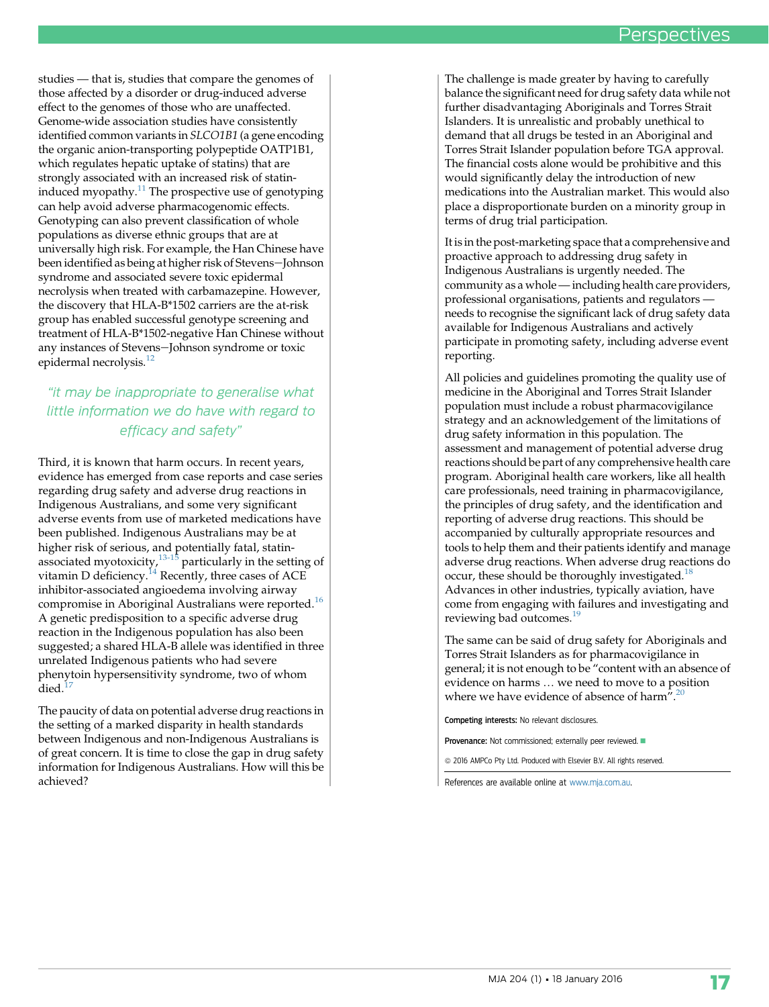studies — that is, studies that compare the genomes of those affected by a disorder or drug-induced adverse effect to the genomes of those who are unaffected. Genome-wide association studies have consistently identified common variants in SLCO1B1 (a gene encoding the organic anion-transporting polypeptide OATP1B1, which regulates hepatic uptake of statins) that are strongly associated with an increased risk of statininduced myopathy. $^{11}$  The prospective use of genotyping can help avoid adverse pharmacogenomic effects. Genotyping can also prevent classification of whole populations as diverse ethnic groups that are at universally high risk. For example, the Han Chinese have been identified as being at higher risk of Stevens-Johnson syndrome and associated severe toxic epidermal necrolysis when treated with carbamazepine. However, the discovery that HLA-B\*1502 carriers are the at-risk group has enabled successful genotype screening and treatment of HLA-B\*1502-negative Han Chinese without any instances of Stevens-Johnson syndrome or toxic epidermal necrolysis.<sup>[12](#page-2-0)</sup>

## "it may be inappropriate to generalise what little information we do have with regard to efficacy and safety"

Third, it is known that harm occurs. In recent years, evidence has emerged from case reports and case series regarding drug safety and adverse drug reactions in Indigenous Australians, and some very significant adverse events from use of marketed medications have been published. Indigenous Australians may be at higher risk of serious, and potentially fatal, statinassociated myotoxicity, $13-15$  particularly in the setting of vitamin D deficiency.<sup>[14](#page-2-0)</sup> Recently, three cases of ACE inhibitor-associated angioedema involving airway compromise in Aboriginal Australians were reported.<sup>[16](#page-2-0)</sup> A genetic predisposition to a specific adverse drug reaction in the Indigenous population has also been suggested; a shared HLA-B allele was identified in three unrelated Indigenous patients who had severe phenytoin hypersensitivity syndrome, two of whom  $died.<sup>1</sup>$ 

The paucity of data on potential adverse drug reactions in the setting of a marked disparity in health standards between Indigenous and non-Indigenous Australians is of great concern. It is time to close the gap in drug safety information for Indigenous Australians. How will this be achieved?

The challenge is made greater by having to carefully balance the significant need for drug safety data while not further disadvantaging Aboriginals and Torres Strait Islanders. It is unrealistic and probably unethical to demand that all drugs be tested in an Aboriginal and Torres Strait Islander population before TGA approval. The financial costs alone would be prohibitive and this would significantly delay the introduction of new medications into the Australian market. This would also place a disproportionate burden on a minority group in terms of drug trial participation.

It is in the post-marketing space that a comprehensive and proactive approach to addressing drug safety in Indigenous Australians is urgently needed. The community as a whole — including health care providers, professional organisations, patients and regulators needs to recognise the significant lack of drug safety data available for Indigenous Australians and actively participate in promoting safety, including adverse event reporting.

All policies and guidelines promoting the quality use of medicine in the Aboriginal and Torres Strait Islander population must include a robust pharmacovigilance strategy and an acknowledgement of the limitations of drug safety information in this population. The assessment and management of potential adverse drug reactions should be part of any comprehensive health care program. Aboriginal health care workers, like all health care professionals, need training in pharmacovigilance, the principles of drug safety, and the identification and reporting of adverse drug reactions. This should be accompanied by culturally appropriate resources and tools to help them and their patients identify and manage adverse drug reactions. When adverse drug reactions do occur, these should be thoroughly investigated.<sup>[18](#page-2-0)</sup> Advances in other industries, typically aviation, have come from engaging with failures and investigating and reviewing bad outcomes.<sup>[19](#page-2-0)</sup>

The same can be said of drug safety for Aboriginals and Torres Strait Islanders as for pharmacovigilance in general; it is not enough to be "content with an absence of evidence on harms ... we need to move to a position where we have evidence of absence of harm<sup>". [20](#page-2-0)</sup>

Competing interests: No relevant disclosures.

Provenance: Not commissioned: externally peer reviewed.

 $@$  2016 AMPCo Pty Ltd. Produced with Elsevier B.V. All rights reserved.

References are available online at [www.mja.com.au](http://www.mja.com.au).